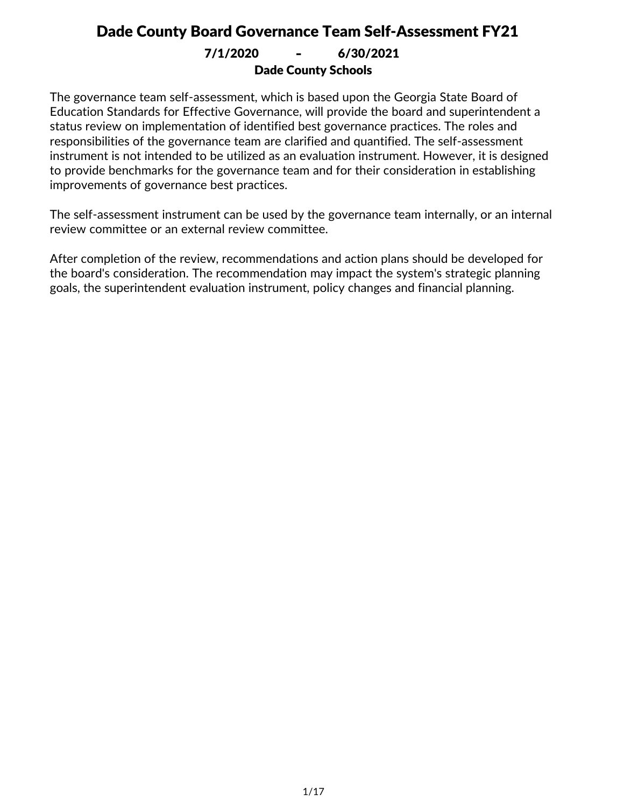Dade County Schools 7/1/2020 **-** 6/30/2021

The governance team self-assessment, which is based upon the Georgia State Board of Education Standards for Effective Governance, will provide the board and superintendent a status review on implementation of identified best governance practices. The roles and responsibilities of the governance team are clarified and quantified. The self-assessment instrument is not intended to be utilized as an evaluation instrument. However, it is designed to provide benchmarks for the governance team and for their consideration in establishing improvements of governance best practices.

The self-assessment instrument can be used by the governance team internally, or an internal review committee or an external review committee.

After completion of the review, recommendations and action plans should be developed for the board's consideration. The recommendation may impact the system's strategic planning goals, the superintendent evaluation instrument, policy changes and financial planning.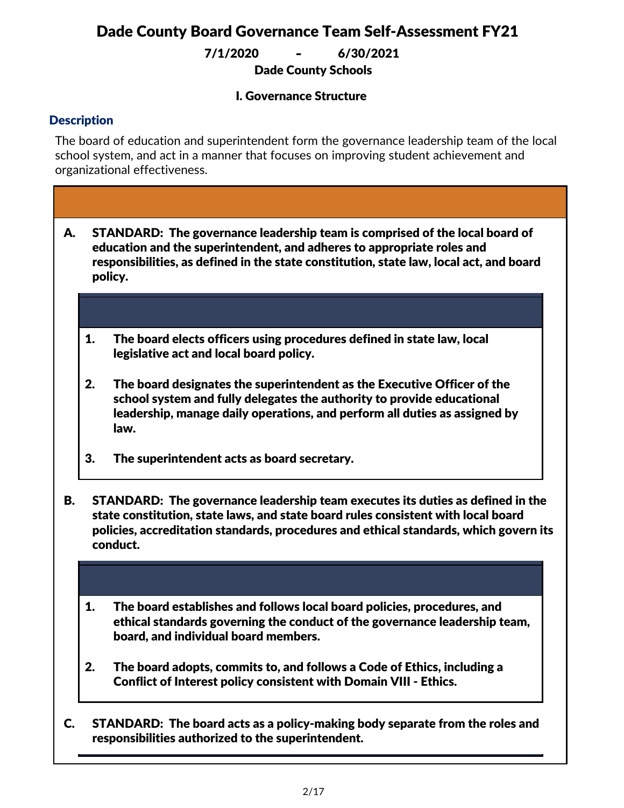Dade County Schools 7/1/2020 **-** 6/30/2021

#### I. Governance Structure

#### **Description**

The board of education and superintendent form the governance leadership team of the local school system, and act in a manner that focuses on improving student achievement and organizational effectiveness.

- STANDARD: The governance leadership team is comprised of the local board of education and the superintendent, and adheres to appropriate roles and responsibilities, as defined in the state constitution, state law, local act, and board policy. A.
	- 1. The board elects officers using procedures defined in state law, local legislative act and local board policy.
	- 2. The board designates the superintendent as the Executive Officer of the school system and fully delegates the authority to provide educational leadership, manage daily operations, and perform all duties as assigned by law.
	- 3. The superintendent acts as board secretary.
- STANDARD: The governance leadership team executes its duties as defined in the state constitution, state laws, and state board rules consistent with local board policies, accreditation standards, procedures and ethical standards, which govern its conduct. B.
	- 1. The board establishes and follows local board policies, procedures, and ethical standards governing the conduct of the governance leadership team, board, and individual board members.
	- 2. The board adopts, commits to, and follows a Code of Ethics, including a Conflict of Interest policy consistent with Domain VIII - Ethics.
- STANDARD: The board acts as a policy-making body separate from the roles and responsibilities authorized to the superintendent. C.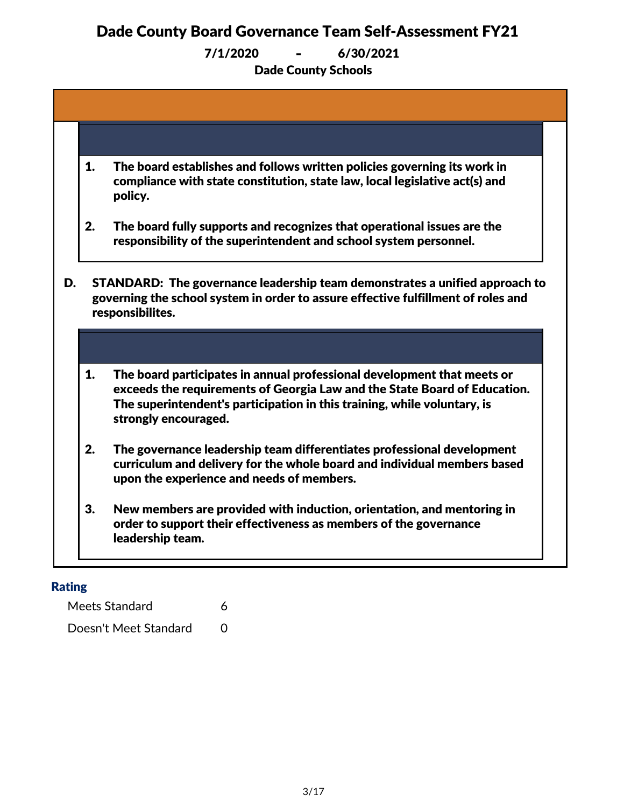Dade County Schools 7/1/2020 **-** 6/30/2021

| 1.                                                                                                                                                                                         | The board establishes and follows written policies governing its work in<br>compliance with state constitution, state law, local legislative act(s) and<br>policy.                                                                                       |  |  |
|--------------------------------------------------------------------------------------------------------------------------------------------------------------------------------------------|----------------------------------------------------------------------------------------------------------------------------------------------------------------------------------------------------------------------------------------------------------|--|--|
| 2.                                                                                                                                                                                         | The board fully supports and recognizes that operational issues are the<br>responsibility of the superintendent and school system personnel.                                                                                                             |  |  |
| STANDARD: The governance leadership team demonstrates a unified approach to<br>D.<br>governing the school system in order to assure effective fulfillment of roles and<br>responsibilites. |                                                                                                                                                                                                                                                          |  |  |
|                                                                                                                                                                                            |                                                                                                                                                                                                                                                          |  |  |
|                                                                                                                                                                                            |                                                                                                                                                                                                                                                          |  |  |
| 1.                                                                                                                                                                                         | The board participates in annual professional development that meets or<br>exceeds the requirements of Georgia Law and the State Board of Education.<br>The superintendent's participation in this training, while voluntary, is<br>strongly encouraged. |  |  |
| 2.                                                                                                                                                                                         | The governance leadership team differentiates professional development<br>curriculum and delivery for the whole board and individual members based<br>upon the experience and needs of members.                                                          |  |  |

#### Rating

Meets Standard 6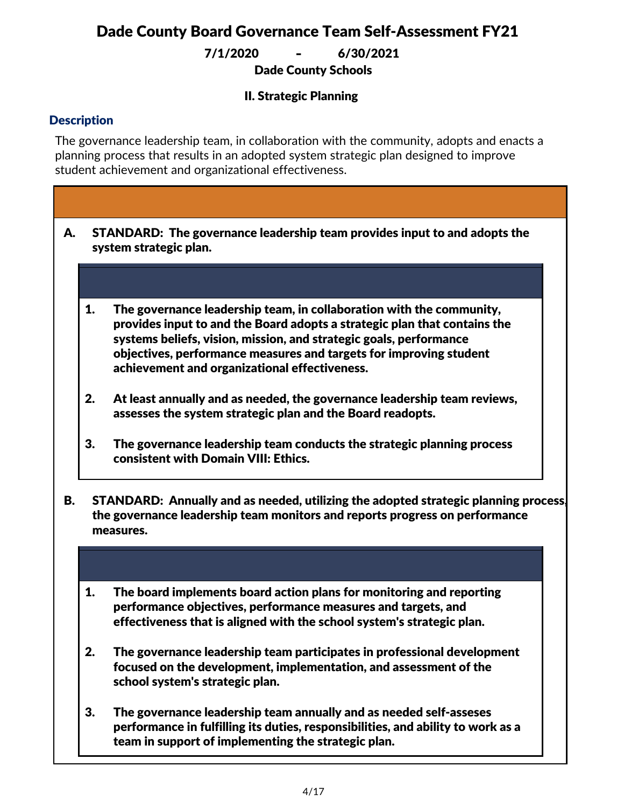Dade County Schools 7/1/2020 **-** 6/30/2021

#### II. Strategic Planning

#### **Description**

The governance leadership team, in collaboration with the community, adopts and enacts a planning process that results in an adopted system strategic plan designed to improve student achievement and organizational effectiveness.

- STANDARD: The governance leadership team provides input to and adopts the system strategic plan. A.
	- 1. The governance leadership team, in collaboration with the community, provides input to and the Board adopts a strategic plan that contains the systems beliefs, vision, mission, and strategic goals, performance objectives, performance measures and targets for improving student achievement and organizational effectiveness.
	- 2. At least annually and as needed, the governance leadership team reviews, assesses the system strategic plan and the Board readopts.
	- 3. The governance leadership team conducts the strategic planning process consistent with Domain VIII: Ethics.
- STANDARD: Annually and as needed, utilizing the adopted strategic planning process, the governance leadership team monitors and reports progress on performance measures. B.
	- 1. The board implements board action plans for monitoring and reporting performance objectives, performance measures and targets, and effectiveness that is aligned with the school system's strategic plan.
	- 2. The governance leadership team participates in professional development focused on the development, implementation, and assessment of the school system's strategic plan.
	- 3. The governance leadership team annually and as needed self-asseses performance in fulfilling its duties, responsibilities, and ability to work as a team in support of implementing the strategic plan.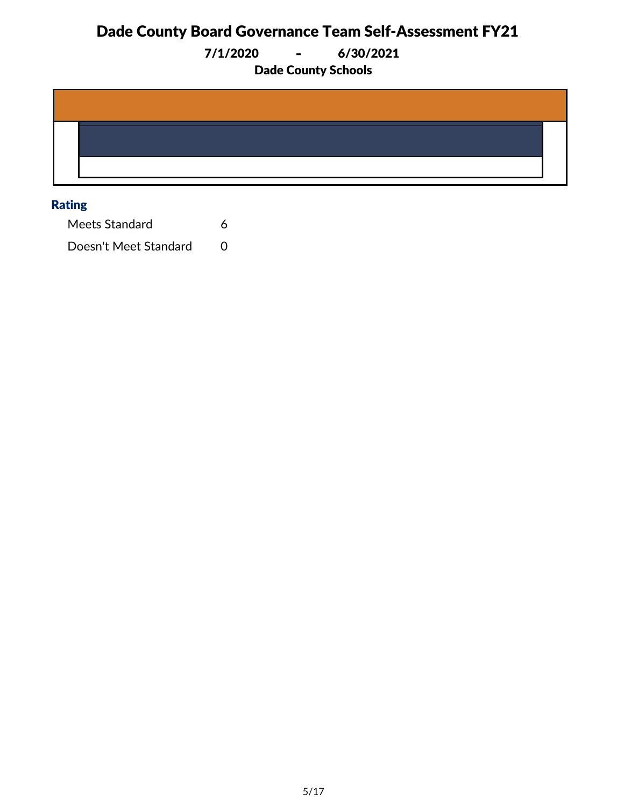7/1/2020 **-** 6/30/2021

Dade County Schools

#### Rating

Meets Standard 6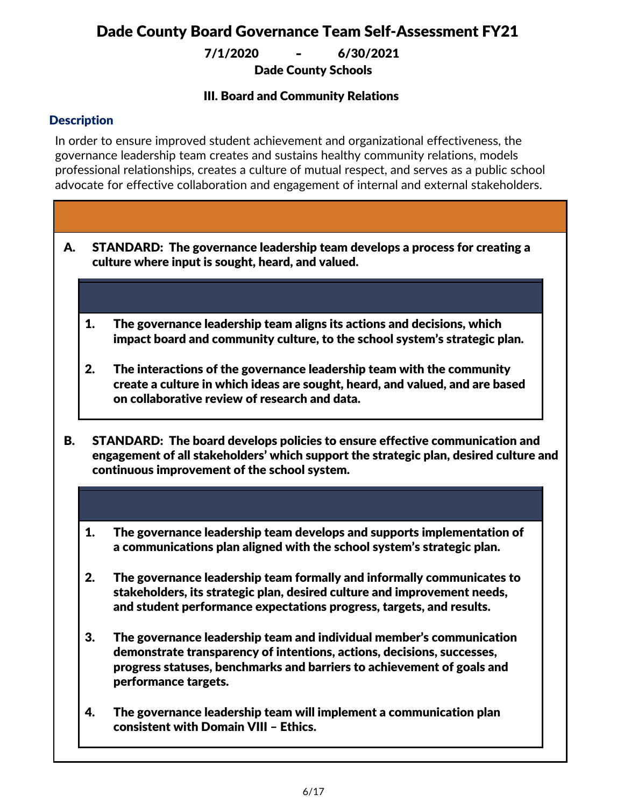Dade County Schools 7/1/2020 **-** 6/30/2021

#### III. Board and Community Relations

#### **Description**

In order to ensure improved student achievement and organizational effectiveness, the governance leadership team creates and sustains healthy community relations, models professional relationships, creates a culture of mutual respect, and serves as a public school advocate for effective collaboration and engagement of internal and external stakeholders.

- STANDARD: The governance leadership team develops a process for creating a culture where input is sought, heard, and valued. A.
	- 1. The governance leadership team aligns its actions and decisions, which impact board and community culture, to the school system's strategic plan.
	- 2. The interactions of the governance leadership team with the community create a culture in which ideas are sought, heard, and valued, and are based on collaborative review of research and data.
- STANDARD: The board develops policies to ensure effective communication and engagement of all stakeholders' which support the strategic plan, desired culture and continuous improvement of the school system. B.
	- 1. The governance leadership team develops and supports implementation of a communications plan aligned with the school system's strategic plan.
	- 2. The governance leadership team formally and informally communicates to stakeholders, its strategic plan, desired culture and improvement needs, and student performance expectations progress, targets, and results.
	- 3. The governance leadership team and individual member's communication demonstrate transparency of intentions, actions, decisions, successes, progress statuses, benchmarks and barriers to achievement of goals and performance targets.
	- 4. The governance leadership team will implement a communication plan consistent with Domain VIII – Ethics.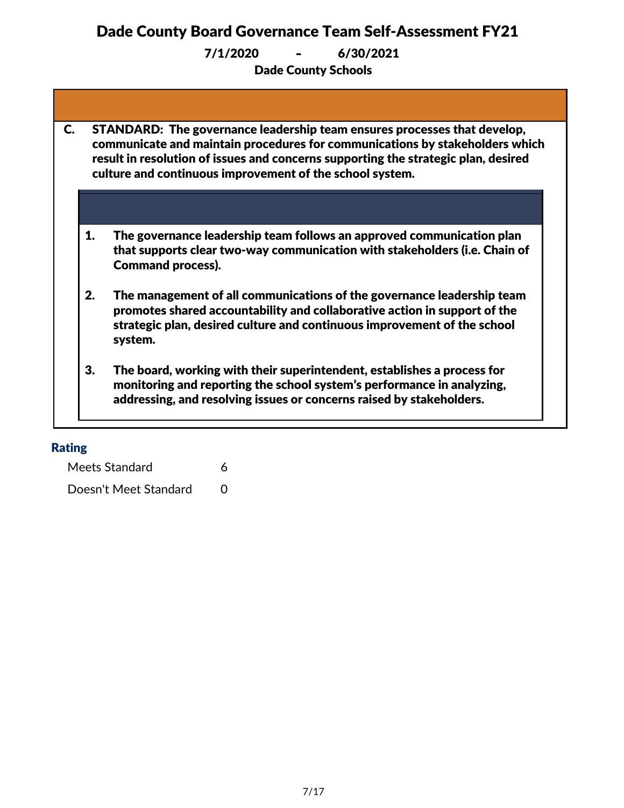7/1/2020 **-** 6/30/2021

Dade County Schools

| STANDARD: The governance leadership team ensures processes that develop,<br>communicate and maintain procedures for communications by stakeholders which<br>result in resolution of issues and concerns supporting the strategic plan, desired<br>culture and continuous improvement of the school system. |                                                                                                                                                                                                                                            |  |  |
|------------------------------------------------------------------------------------------------------------------------------------------------------------------------------------------------------------------------------------------------------------------------------------------------------------|--------------------------------------------------------------------------------------------------------------------------------------------------------------------------------------------------------------------------------------------|--|--|
|                                                                                                                                                                                                                                                                                                            |                                                                                                                                                                                                                                            |  |  |
| 1.                                                                                                                                                                                                                                                                                                         | The governance leadership team follows an approved communication plan<br>that supports clear two-way communication with stakeholders (i.e. Chain of<br><b>Command process).</b>                                                            |  |  |
| 2.                                                                                                                                                                                                                                                                                                         | The management of all communications of the governance leadership team<br>promotes shared accountability and collaborative action in support of the<br>strategic plan, desired culture and continuous improvement of the school<br>system. |  |  |
| 3.                                                                                                                                                                                                                                                                                                         | The board, working with their superintendent, establishes a process for<br>monitoring and reporting the school system's performance in analyzing,<br>addressing, and resolving issues or concerns raised by stakeholders.                  |  |  |

#### Rating

Meets Standard 6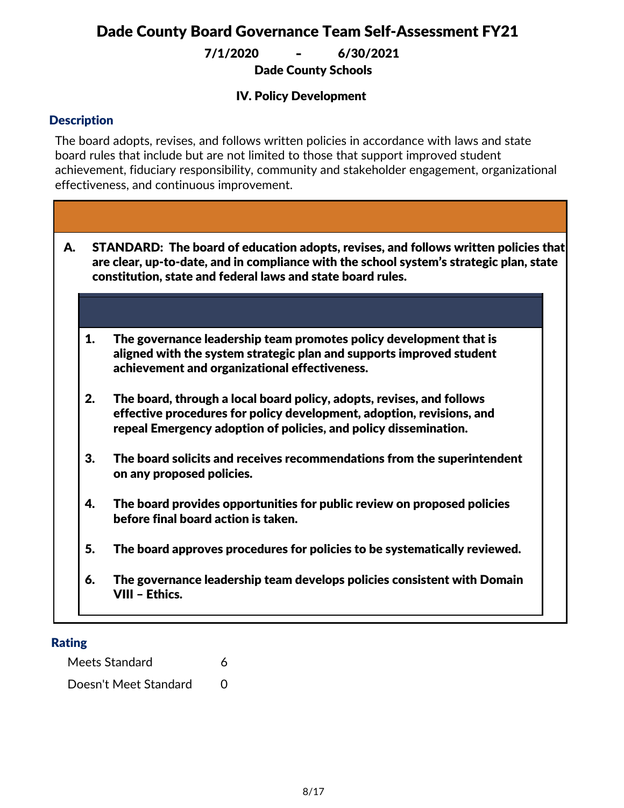Dade County Schools 7/1/2020 **-** 6/30/2021

#### IV. Policy Development

#### **Description**

The board adopts, revises, and follows written policies in accordance with laws and state board rules that include but are not limited to those that support improved student achievement, fiduciary responsibility, community and stakeholder engagement, organizational effectiveness, and continuous improvement.

- STANDARD: The board of education adopts, revises, and follows written policies that are clear, up-to-date, and in compliance with the school system's strategic plan, state constitution, state and federal laws and state board rules. A.
	- 1. The governance leadership team promotes policy development that is aligned with the system strategic plan and supports improved student achievement and organizational effectiveness.
	- 2. The board, through a local board policy, adopts, revises, and follows effective procedures for policy development, adoption, revisions, and repeal Emergency adoption of policies, and policy dissemination.
	- 3. The board solicits and receives recommendations from the superintendent on any proposed policies.
	- 4. The board provides opportunities for public review on proposed policies before final board action is taken.
	- 5. The board approves procedures for policies to be systematically reviewed.
	- 6. The governance leadership team develops policies consistent with Domain VIII – Ethics.

#### Rating

Meets Standard 6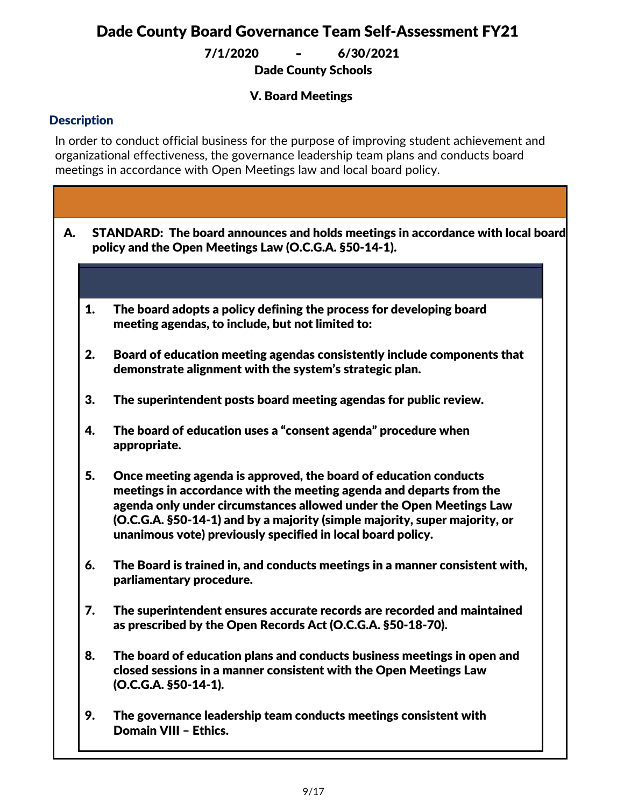Dade County Schools 7/1/2020 **-** 6/30/2021

#### V. Board Meetings

#### **Description**

In order to conduct official business for the purpose of improving student achievement and organizational effectiveness, the governance leadership team plans and conducts board meetings in accordance with Open Meetings law and local board policy.

| А. | STANDARD: The board announces and holds meetings in accordance with local board<br>policy and the Open Meetings Law (O.C.G.A. §50-14-1). |                                                                                                                                                                                                                                                                                                                                                             |  |  |
|----|------------------------------------------------------------------------------------------------------------------------------------------|-------------------------------------------------------------------------------------------------------------------------------------------------------------------------------------------------------------------------------------------------------------------------------------------------------------------------------------------------------------|--|--|
|    |                                                                                                                                          |                                                                                                                                                                                                                                                                                                                                                             |  |  |
|    | 1.                                                                                                                                       | The board adopts a policy defining the process for developing board<br>meeting agendas, to include, but not limited to:                                                                                                                                                                                                                                     |  |  |
|    | 2.                                                                                                                                       | Board of education meeting agendas consistently include components that<br>demonstrate alignment with the system's strategic plan.                                                                                                                                                                                                                          |  |  |
|    | 3.                                                                                                                                       | The superintendent posts board meeting agendas for public review.                                                                                                                                                                                                                                                                                           |  |  |
|    | 4.                                                                                                                                       | The board of education uses a "consent agenda" procedure when<br>appropriate.                                                                                                                                                                                                                                                                               |  |  |
|    | 5.                                                                                                                                       | Once meeting agenda is approved, the board of education conducts<br>meetings in accordance with the meeting agenda and departs from the<br>agenda only under circumstances allowed under the Open Meetings Law<br>(O.C.G.A. §50-14-1) and by a majority (simple majority, super majority, or<br>unanimous vote) previously specified in local board policy. |  |  |
|    | 6.                                                                                                                                       | The Board is trained in, and conducts meetings in a manner consistent with,<br>parliamentary procedure.                                                                                                                                                                                                                                                     |  |  |
|    | 7.                                                                                                                                       | The superintendent ensures accurate records are recorded and maintained<br>as prescribed by the Open Records Act (O.C.G.A. §50-18-70).                                                                                                                                                                                                                      |  |  |
|    | 8.                                                                                                                                       | The board of education plans and conducts business meetings in open and<br>closed sessions in a manner consistent with the Open Meetings Law<br>(O.C.G.A. §50-14-1).                                                                                                                                                                                        |  |  |
|    | 9.                                                                                                                                       | The governance leadership team conducts meetings consistent with<br>Domain VIII - Ethics.                                                                                                                                                                                                                                                                   |  |  |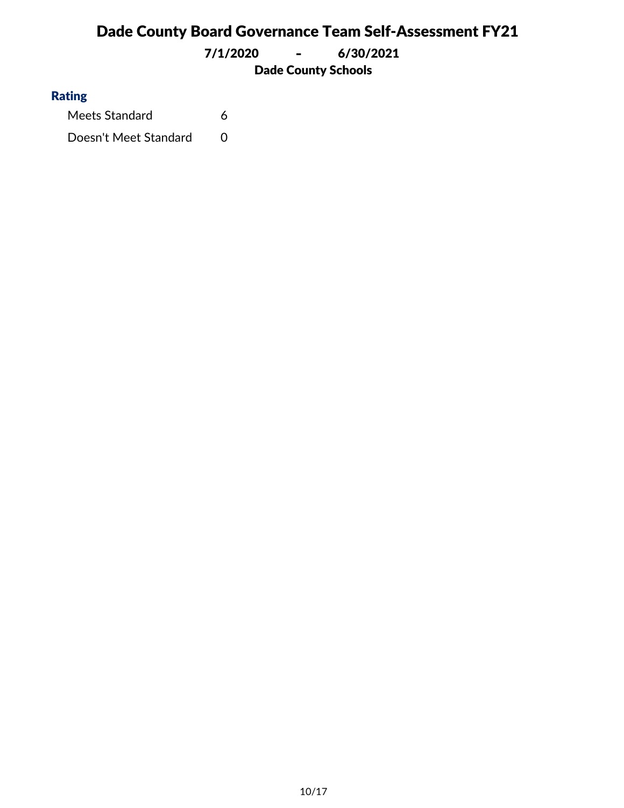Dade County Schools 7/1/2020 **-** 6/30/2021

#### Rating

Meets Standard 6 Doesn't Meet Standard 0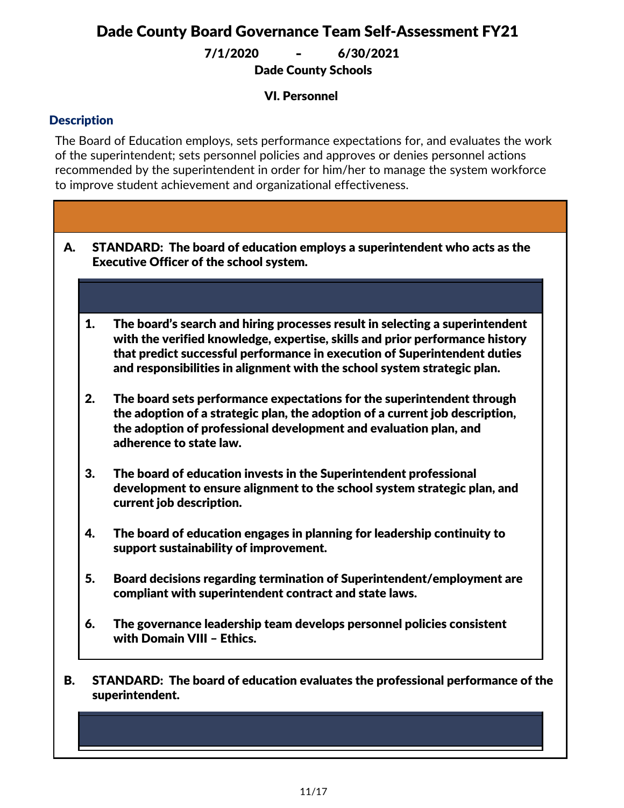Dade County Schools 7/1/2020 **-** 6/30/2021

#### VI. Personnel

#### **Description**

The Board of Education employs, sets performance expectations for, and evaluates the work of the superintendent; sets personnel policies and approves or denies personnel actions recommended by the superintendent in order for him/her to manage the system workforce to improve student achievement and organizational effectiveness.

- STANDARD: The board of education employs a superintendent who acts as the Executive Officer of the school system. A.
	- 1. The board's search and hiring processes result in selecting a superintendent with the verified knowledge, expertise, skills and prior performance history that predict successful performance in execution of Superintendent duties and responsibilities in alignment with the school system strategic plan.
	- 2. The board sets performance expectations for the superintendent through the adoption of a strategic plan, the adoption of a current job description, the adoption of professional development and evaluation plan, and adherence to state law.
	- 3. The board of education invests in the Superintendent professional development to ensure alignment to the school system strategic plan, and current job description.
	- 4. The board of education engages in planning for leadership continuity to support sustainability of improvement.
	- 5. Board decisions regarding termination of Superintendent/employment are compliant with superintendent contract and state laws.
	- 6. The governance leadership team develops personnel policies consistent with Domain VIII – Ethics.
- STANDARD: The board of education evaluates the professional performance of the superintendent. B.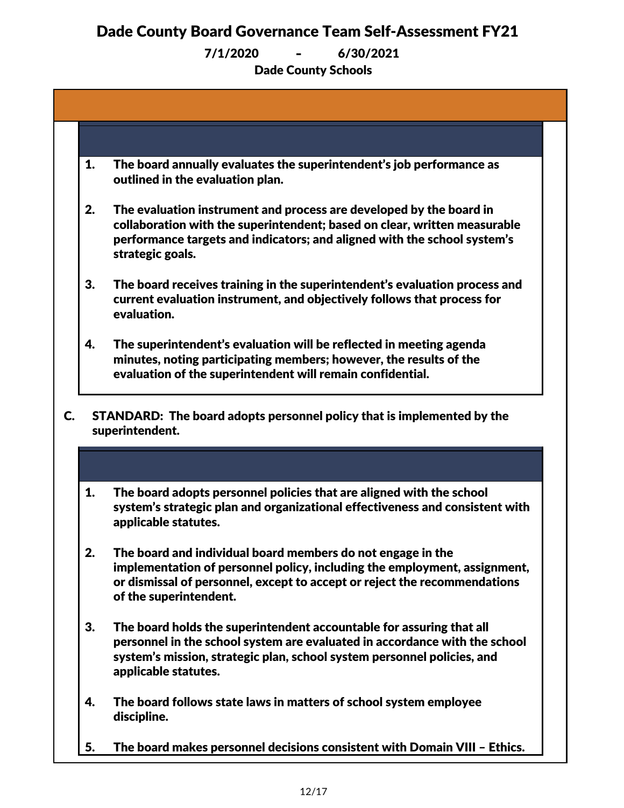7/1/2020 **-** 6/30/2021

Dade County Schools

| 1. | The board annually evaluates the superintendent's job performance as<br>outlined in the evaluation plan.                                                                                                                                              |
|----|-------------------------------------------------------------------------------------------------------------------------------------------------------------------------------------------------------------------------------------------------------|
| 2. | The evaluation instrument and process are developed by the board in<br>collaboration with the superintendent; based on clear, written measurable<br>performance targets and indicators; and aligned with the school system's<br>strategic goals.      |
| 3. | The board receives training in the superintendent's evaluation process and<br>current evaluation instrument, and objectively follows that process for<br>evaluation.                                                                                  |
| 4. | The superintendent's evaluation will be reflected in meeting agenda<br>minutes, noting participating members; however, the results of the<br>evaluation of the superintendent will remain confidential.                                               |
|    | superintendent.                                                                                                                                                                                                                                       |
| 1. | The board adopts personnel policies that are aligned with the school<br>system's strategic plan and organizational effectiveness and consistent with<br>applicable statutes.                                                                          |
| 2. | The board and individual board members do not engage in the<br>implementation of personnel policy, including the employment, assignment,<br>or dismissal of personnel, except to accept or reject the recommendations<br>of the superintendent.       |
| 3. |                                                                                                                                                                                                                                                       |
|    | The board holds the superintendent accountable for assuring that all<br>personnel in the school system are evaluated in accordance with the school<br>system's mission, strategic plan, school system personnel policies, and<br>applicable statutes. |
| 4. | The board follows state laws in matters of school system employee<br>discipline.                                                                                                                                                                      |

5. The board makes personnel decisions consistent with Domain VIII – Ethics.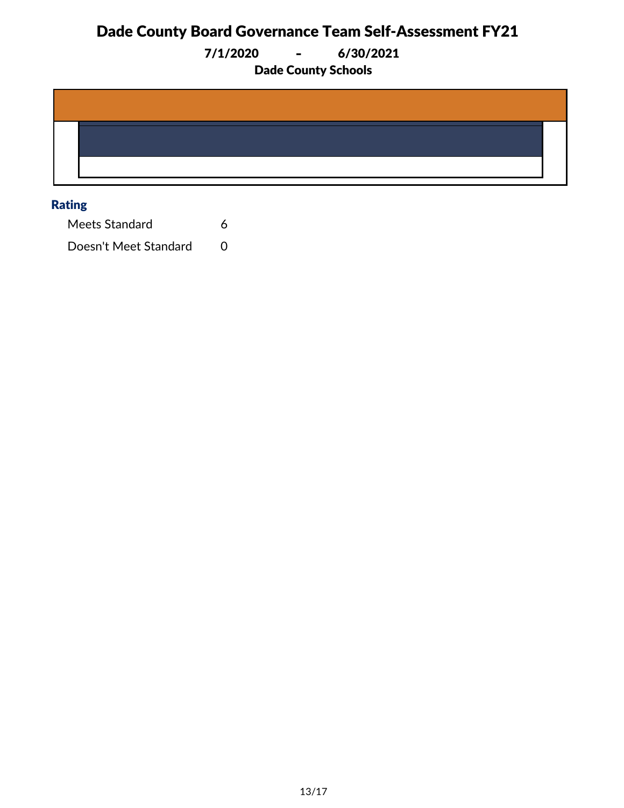7/1/2020 **-** 6/30/2021

Dade County Schools

#### Rating

Meets Standard 6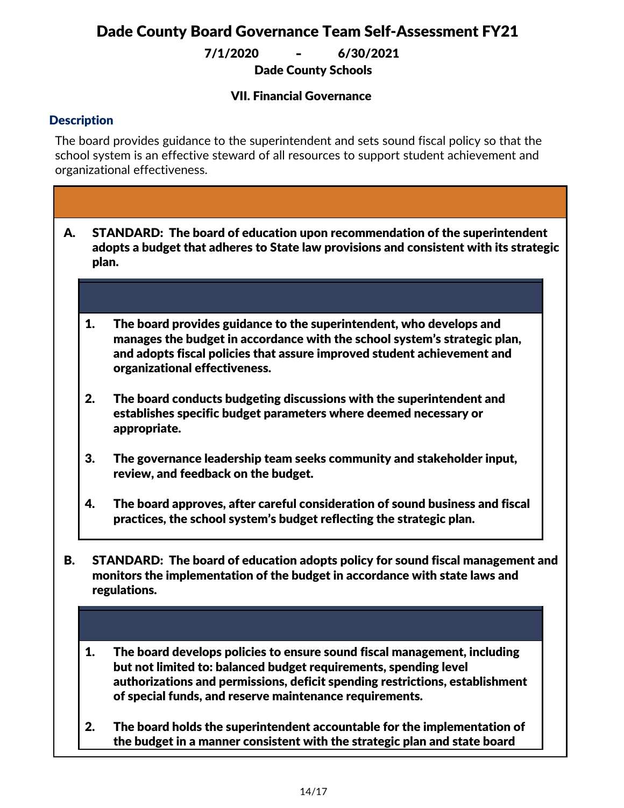7/1/2020 **-** 6/30/2021

Dade County Schools

#### VII. Financial Governance

#### **Description**

rules.

The board provides guidance to the superintendent and sets sound fiscal policy so that the school system is an effective steward of all resources to support student achievement and organizational effectiveness.

- STANDARD: The board of education upon recommendation of the superintendent adopts a budget that adheres to State law provisions and consistent with its strategic plan. A.
	- 1. The board provides guidance to the superintendent, who develops and manages the budget in accordance with the school system's strategic plan, and adopts fiscal policies that assure improved student achievement and organizational effectiveness.
	- 2. The board conducts budgeting discussions with the superintendent and establishes specific budget parameters where deemed necessary or appropriate.
	- 3. The governance leadership team seeks community and stakeholder input, review, and feedback on the budget.
	- 4. The board approves, after careful consideration of sound business and fiscal practices, the school system's budget reflecting the strategic plan.
- STANDARD: The board of education adopts policy for sound fiscal management and monitors the implementation of the budget in accordance with state laws and regulations. B.
	- 1. The board develops policies to ensure sound fiscal management, including but not limited to: balanced budget requirements, spending level authorizations and permissions, deficit spending restrictions, establishment of special funds, and reserve maintenance requirements.
	- 2. The board holds the superintendent accountable for the implementation of the budget in a manner consistent with the strategic plan and state board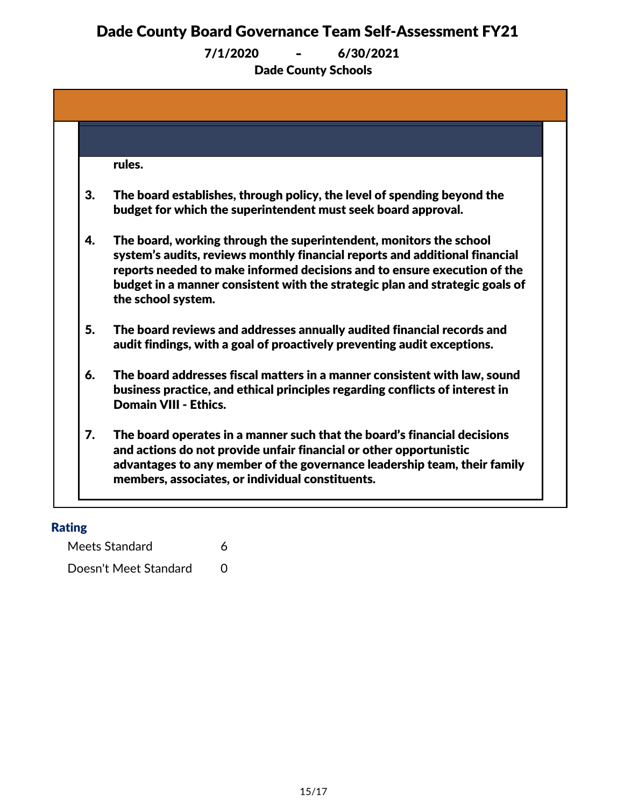Dade County Schools 7/1/2020 **-** 6/30/2021

|    | rules.                                                                                                                                                                                                                                                                                                                              |
|----|-------------------------------------------------------------------------------------------------------------------------------------------------------------------------------------------------------------------------------------------------------------------------------------------------------------------------------------|
| 3. | The board establishes, through policy, the level of spending beyond the<br>budget for which the superintendent must seek board approval.                                                                                                                                                                                            |
| 4. | The board, working through the superintendent, monitors the school<br>system's audits, reviews monthly financial reports and additional financial<br>reports needed to make informed decisions and to ensure execution of the<br>budget in a manner consistent with the strategic plan and strategic goals of<br>the school system. |
| 5. | The board reviews and addresses annually audited financial records and<br>audit findings, with a goal of proactively preventing audit exceptions.                                                                                                                                                                                   |
| 6. | The board addresses fiscal matters in a manner consistent with law, sound<br>business practice, and ethical principles regarding conflicts of interest in<br><b>Domain VIII - Ethics.</b>                                                                                                                                           |
| 7. | The board operates in a manner such that the board's financial decisions<br>and actions do not provide unfair financial or other opportunistic<br>advantages to any member of the governance leadership team, their family<br>members, associates, or individual constituents.                                                      |

#### Rating

Meets Standard 6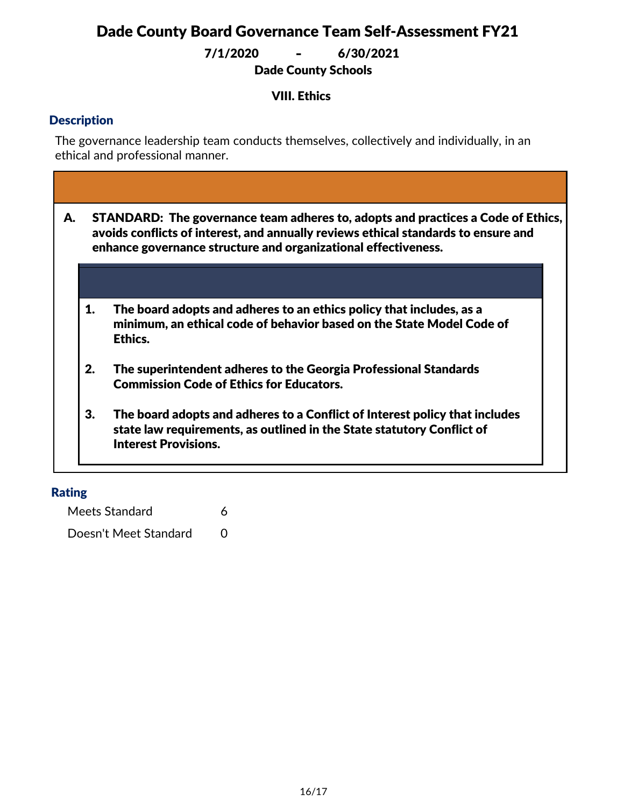7/1/2020 **-** 6/30/2021

Dade County Schools

#### VIII. Ethics

#### **Description**

The governance leadership team conducts themselves, collectively and individually, in an ethical and professional manner.

| А. |    | STANDARD: The governance team adheres to, adopts and practices a Code of Ethics,<br>avoids conflicts of interest, and annually reviews ethical standards to ensure and<br>enhance governance structure and organizational effectiveness. |
|----|----|------------------------------------------------------------------------------------------------------------------------------------------------------------------------------------------------------------------------------------------|
|    |    |                                                                                                                                                                                                                                          |
|    | 1. | The board adopts and adheres to an ethics policy that includes, as a<br>minimum, an ethical code of behavior based on the State Model Code of<br>Ethics.                                                                                 |
|    | 2. | The superintendent adheres to the Georgia Professional Standards<br><b>Commission Code of Ethics for Educators.</b>                                                                                                                      |
|    | 3. | The board adopts and adheres to a Conflict of Interest policy that includes<br>state law requirements, as outlined in the State statutory Conflict of<br><b>Interest Provisions.</b>                                                     |

#### Rating

Meets Standard 6